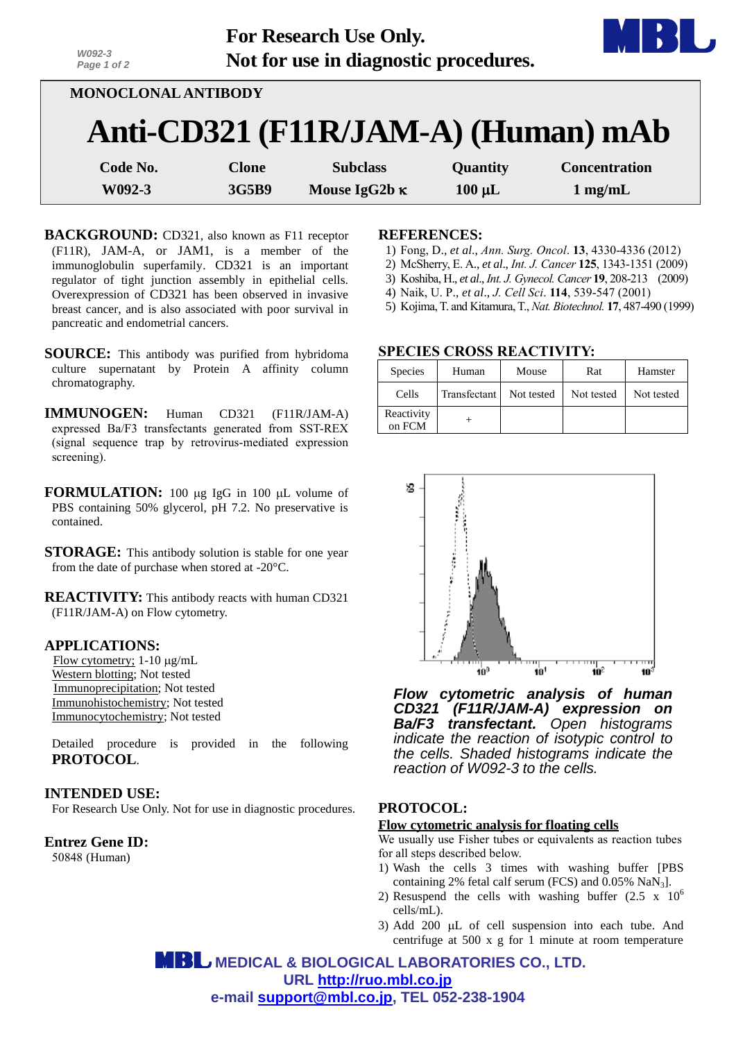| W092-3<br>Page 1 of 2 |              | <b>For Research Use Only.</b><br>Not for use in diagnostic procedures. |             |                                     |
|-----------------------|--------------|------------------------------------------------------------------------|-------------|-------------------------------------|
| MONOCLONAL ANTIBODY   |              |                                                                        |             |                                     |
|                       |              |                                                                        |             | Anti-CD321 (F11R/JAM-A) (Human) mAb |
| Code No.              | <b>Clone</b> | <b>Subclass</b>                                                        | Quantity    | <b>Concentration</b>                |
| W092-3                | 3G5B9        | Mouse IgG2b $\kappa$                                                   | $100 \mu L$ | $1$ mg/mL                           |

- **BACKGROUND:** CD321, also known as F11 receptor (F11R), JAM-A, or JAM1, is a member of the immunoglobulin superfamily. CD321 is an important regulator of tight junction assembly in epithelial cells. Overexpression of CD321 has been observed in invasive breast cancer, and is also associated with poor survival in pancreatic and endometrial cancers.
- **SOURCE:** This antibody was purified from hybridoma culture supernatant by Protein A affinity column chromatography.
- **IMMUNOGEN:** Human CD321 (F11R/JAM-A) expressed Ba/F3 transfectants generated from SST-REX (signal sequence trap by retrovirus-mediated expression screening).
- **FORMULATION:** 100 µg IgG in 100 µL volume of PBS containing 50% glycerol, pH 7.2. No preservative is contained.
- **STORAGE:** This antibody solution is stable for one year from the date of purchase when stored at -20°C.
- **REACTIVITY:** This antibody reacts with human CD321 (F11R/JAM-A) on Flow cytometry.

## **APPLICATIONS:**

Flow cytometry;  $1-10 \mu g/mL$ Western blotting; Not tested Immunoprecipitation; Not tested Immunohistochemistry; Not tested Immunocytochemistry; Not tested

Detailed procedure is provided in the following **PROTOCOL**.

# **INTENDED USE:**

For Research Use Only. Not for use in diagnostic procedures.

### **Entrez Gene ID:**

50848 (Human)

### **REFERENCES:**

- 1) Fong, D., *et al*., *Ann. Surg. Oncol*. **13**, 4330-4336 (2012)
- 2) McSherry, E. A., *et al*., *Int. J. Cancer* **125**, 1343-1351 (2009)
- 3) Koshiba, H., *et al*., *Int. J. Gynecol. Cancer* **19**, 208-213 (2009)
- 4) Naik, U. P., *et al*., *J. Cell Sci*. **114**, 539-547 (2001)
- 5) [Kojima,](http://www.ncbi.nlm.nih.gov/pubmed?term=Kojima%20T%5BAuthor%5D&cauthor=true&cauthor_uid=10331810) T. an[d Kitamura,T.,](http://www.ncbi.nlm.nih.gov/pubmed?term=Kitamura%20T%5BAuthor%5D&cauthor=true&cauthor_uid=10331810) *Nat. Biotechnol.* **17**, 487-490 (1999)

## **SPECIES CROSS REACTIVITY:**

| <b>Species</b>       | Human        | Mouse      | Rat        | Hamster    |
|----------------------|--------------|------------|------------|------------|
| Cells                | Transfectant | Not tested | Not tested | Not tested |
| Reactivity<br>on FCM |              |            |            |            |



*Flow cytometric analysis of human CD321 (F11R/JAM-A) expression on Ba/F3 transfectant. Open histograms indicate the reaction of isotypic control to the cells. Shaded histograms indicate the reaction of W092-3 to the cells.*

# **PROTOCOL:**

#### **Flow cytometric analysis for floating cells**

We usually use Fisher tubes or equivalents as reaction tubes for all steps described below.

- 1) Wash the cells 3 times with washing buffer [PBS containing 2% fetal calf serum (FCS) and 0.05% NaN3].
- 2) Resuspend the cells with washing buffer  $(2.5 \times 10^6$ cells/mL).
- 3) Add 200  $\mu$ L of cell suspension into each tube. And centrifuge at 500 x g for 1 minute at room temperature

 **MEDICAL & BIOLOGICAL LABORATORIES CO., LTD. URL [http://ruo.mbl.co.jp](http://ruo.mbl.co.jp/) e-mail [support@mbl.co.jp,](mailto:support@mbl.co.jp) TEL 052-238-1904**